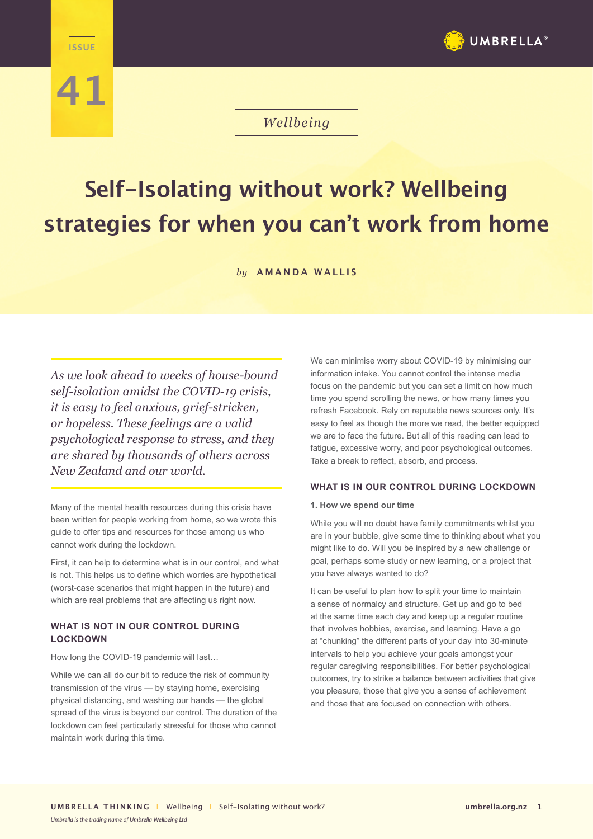



# *Wellbeing*

# **Self-Isolating without work? Wellbeing strategies for when you can't work from home**

*by* **AMANDA WALLIS**

*As we look ahead to weeks of house-bound self-isolation amidst the COVID-19 crisis, it is easy to feel anxious, grief-stricken, or hopeless. These feelings are a valid psychological response to stress, and they are shared by thousands of others across New Zealand and our world.* 

Many of the mental health resources during this crisis have been written for people working from home, so we wrote this guide to offer tips and resources for those among us who cannot work during the lockdown.

First, it can help to determine what is in our control, and what is not. This helps us to define which worries are hypothetical (worst-case scenarios that might happen in the future) and which are real problems that are affecting us right now.

## **WHAT IS NOT IN OUR CONTROL DURING LOCKDOWN**

How long the COVID-19 pandemic will last…

While we can all do our bit to reduce the risk of community transmission of the virus — by staying home, exercising physical distancing, and washing our hands — the global spread of the virus is beyond our control. The duration of the lockdown can feel particularly stressful for those who cannot maintain work during this time.

We can minimise worry about COVID-19 by minimising our information intake. You cannot control the intense media focus on the pandemic but you can set a limit on how much time you spend scrolling the news, or how many times you refresh Facebook. Rely on reputable news sources only. It's easy to feel as though the more we read, the better equipped we are to face the future. But all of this reading can lead to fatigue, excessive worry, and poor psychological outcomes. Take a break to reflect, absorb, and process.

#### **WHAT IS IN OUR CONTROL DURING LOCKDOWN**

#### **1. How we spend our time**

While you will no doubt have family commitments whilst you are in your bubble, give some time to thinking about what you might like to do. Will you be inspired by a new challenge or goal, perhaps some study or new learning, or a project that you have always wanted to do?

It can be useful to plan how to split your time to maintain a sense of normalcy and structure. Get up and go to bed at the same time each day and keep up a regular routine that involves hobbies, exercise, and learning. Have a go at "chunking" the different parts of your day into 30-minute intervals to help you achieve your goals amongst your regular caregiving responsibilities. For better psychological outcomes, try to strike a balance between activities that give you pleasure, those that give you a sense of achievement and those that are focused on connection with others.